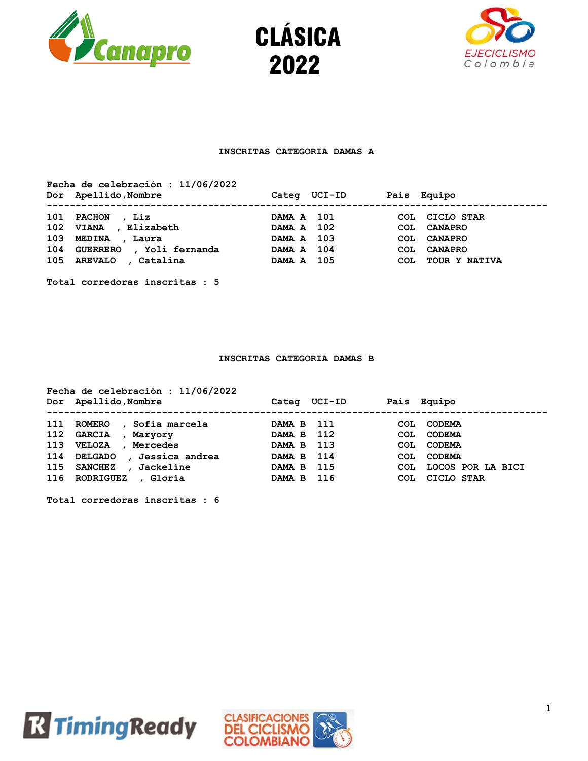





## **INSCRITAS CATEGORIA DAMAS A**

**Fecha de celebración : 11/06/2022 Dor Apellido,Nombre Categ UCI-ID Pais Equipo --------------------------------------------------------------------------------------- 101 PACHON , Liz DAMA A 101 COL CICLO STAR 102 VIANA , Elizabeth DAMA A 102 COL CANAPRO 103 MEDINA , Laura DAMA A 103 COL CANAPRO 104 GUERRERO , Yoli fernanda DAMA A 104 COL CANAPRO 105 AREVALO , Catalina DAMA A 105 COL TOUR Y NATIVA** 

**Total corredoras inscritas : 5**

#### **INSCRITAS CATEGORIA DAMAS B**

|     | Fecha de celebración : 11/06/2022<br>Dor Apellido, Nombre | Categ  | UCI-ID |            | Pais Equipo       |
|-----|-----------------------------------------------------------|--------|--------|------------|-------------------|
| 111 | <b>ROMERO</b><br>Sofia marcela                            | DAMA B | - 111  | COL        | <b>CODEMA</b>     |
| 112 | <b>GARCIA</b><br>Maryory                                  | DAMA B | 112    | COL.       | <b>CODEMA</b>     |
| 113 | <b>VELOZA</b><br>Mercedes                                 | DAMA B | - 113  | <b>COL</b> | <b>CODEMA</b>     |
| 114 | , Jessica andrea<br><b>DELGADO</b>                        | DAMA B | 114    | COL        | <b>CODEMA</b>     |
| 115 | <b>SANCHEZ</b><br>Jackeline                               | DAMA B | -115   | COL        | LOCOS POR LA BICI |
| 116 | RODRIGUEZ<br>, Gloria                                     | DAMA B | 116    | COL        | CICLO STAR        |



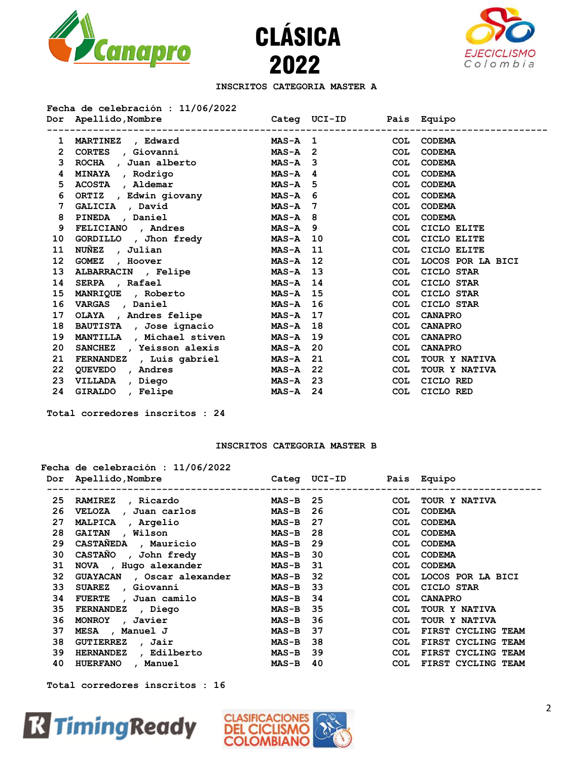





## **INSCRITOS CATEGORIA MASTER A**

## **Fecha de celebración : 11/06/2022**

|                 | Dor Apellido, Nombre                       Categ UCI-ID     Pais Equipo |              |              |            |                   |
|-----------------|-------------------------------------------------------------------------|--------------|--------------|------------|-------------------|
| 1               | MARTINEZ , Edward                                                       | $MAS-A$ 1    |              |            | COL CODEMA        |
| $\mathbf{2}$    | CORTES , Giovanni                                                       |              | $MAS-A$ 2    | <b>COL</b> | <b>CODEMA</b>     |
| 3               | ROCHA , Juan alberto MAS-A 3                                            |              |              | <b>COL</b> | <b>CODEMA</b>     |
| 4               | MINAYA , Rodrigo                                                        | $MAS-A$ 4    |              | <b>COL</b> | <b>CODEMA</b>     |
| 5               | ACOSTA, Aldemar MAS-A 5                                                 |              |              | <b>COL</b> | <b>CODEMA</b>     |
| 6               | ORTIZ, Edwin giovany MAS-A 6                                            |              |              | <b>COL</b> | <b>CODEMA</b>     |
| 7               | GALICIA , David MAS-A 7                                                 |              |              | <b>COL</b> | <b>CODEMA</b>     |
| 8               | PINEDA, Daniel                                                          | MAS-A 8      |              | COL        | <b>CODEMA</b>     |
| 9               | FELICIANO, Andres MAS-A 9                                               |              |              | <b>COL</b> | CICLO ELITE       |
| 10              | GORDILLO, Jhon fredy MAS-A 10                                           |              |              | COL        | CICLO ELITE       |
| 11              | NUÑEZ , Julian                                                          |              | $MAS-A$ 11   | <b>COL</b> | CICLO ELITE       |
| 12 <sup>2</sup> | GOMEZ, Hoover                                                           |              | $MAS-A$ 12   | COL        | LOCOS POR LA BICI |
| 13              | ALBARRACIN, Felipe                                                      |              | $MAS-A$ 13   | <b>COL</b> | CICLO STAR        |
| 14              | SERPA , Rafael                                                          |              | $MAS - A$ 14 | <b>COL</b> | CICLO STAR        |
| 15              | MANRIQUE , Roberto MAS-A 15                                             |              |              | <b>COL</b> | CICLO STAR        |
| 16              | VARGAS , Daniel                                                         |              | $MAS-A$ 16   | <b>COL</b> | CICLO STAR        |
| 17              | OLAYA , Andres felipe MAS-A 17                                          |              |              | <b>COL</b> | <b>CANAPRO</b>    |
| 18              | BAUTISTA , Jose ignacio                                                 |              | $MAS-A$ 18   | <b>COL</b> | <b>CANAPRO</b>    |
| 19              | MANTILLA , Michael stiven                                               | MAS-A 19     |              | COL        | <b>CANAPRO</b>    |
| 20              | SANCHEZ , Yeisson alexis                                                | $MAS-A$ 20   |              | <b>COL</b> | <b>CANAPRO</b>    |
| 21              | FERNANDEZ, Luis gabriel MAS-A 21                                        |              |              | <b>COL</b> | TOUR Y NATIVA     |
| 22              | QUEVEDO, Andres                                                         | $MAS - A 22$ |              | <b>COL</b> | TOUR Y NATIVA     |
| 23              | VILLADA , Diego                                                         | MAS-A 23     |              | <b>COL</b> | CICLO RED         |
| 24              | GIRALDO, Felipe                                                         | $MAS - A$ 24 |              | COL        | CICLO RED         |

**Total corredores inscritos : 24**

#### **INSCRITOS CATEGORIA MASTER B**

# **Fecha de celebración : 11/06/2022**

|    | Dor Apellido, Nombre       |              | Categ UCI-ID Pais Equipo |            |                    |
|----|----------------------------|--------------|--------------------------|------------|--------------------|
| 25 | RAMIREZ, Ricardo           | MAS-B 25     |                          | <b>COL</b> | TOUR Y NATIVA      |
| 26 | VELOZA , Juan carlos       | <b>MAS-B</b> | 26                       | COL.       | <b>CODEMA</b>      |
| 27 | MALPICA , Argelio          | <b>MAS-B</b> | 27                       | <b>COL</b> | <b>CODEMA</b>      |
| 28 | GAITAN , Wilson            | <b>MAS-B</b> | 28                       | <b>COL</b> | <b>CODEMA</b>      |
| 29 | CASTANEDA , Mauricio       | <b>MAS-B</b> | 29                       | COL.       | <b>CODEMA</b>      |
| 30 | CASTAÑO, John fredy        | <b>MAS-B</b> | - 30                     | COL.       | <b>CODEMA</b>      |
| 31 | NOVA, Hugo alexander       | MAS-B 31     |                          | <b>COL</b> | <b>CODEMA</b>      |
| 32 | GUAYACAN , Oscar alexander | <b>MAS-B</b> | - 32                     | <b>COL</b> | LOCOS POR LA BICI  |
| 33 | SUAREZ , Giovanni          | <b>MAS-B</b> | - 33                     | <b>COL</b> | CICLO STAR         |
| 34 | FUERTE , Juan camilo       | <b>MAS-B</b> | 34                       | <b>COL</b> | <b>CANAPRO</b>     |
| 35 | FERNANDEZ , Diego          | <b>MAS-B</b> | -35                      | <b>COL</b> | TOUR Y NATIVA      |
| 36 | MONROY, Javier             | <b>MAS-B</b> | 36                       | <b>COL</b> | TOUR Y NATIVA      |
| 37 | MESA , Manuel J            | <b>MAS-B</b> | 37                       | <b>COL</b> | FIRST CYCLING TEAM |
| 38 | GUTIERREZ , Jair           | <b>MAS-B</b> | 38                       | <b>COL</b> | FIRST CYCLING TEAM |
| 39 | HERNANDEZ, Edilberto       | <b>MAS-B</b> | - 39                     | COL.       | FIRST CYCLING TEAM |
| 40 | HUERFANO, Manuel           | <b>MAS-B</b> | 40                       | COL.       | FIRST CYCLING TEAM |



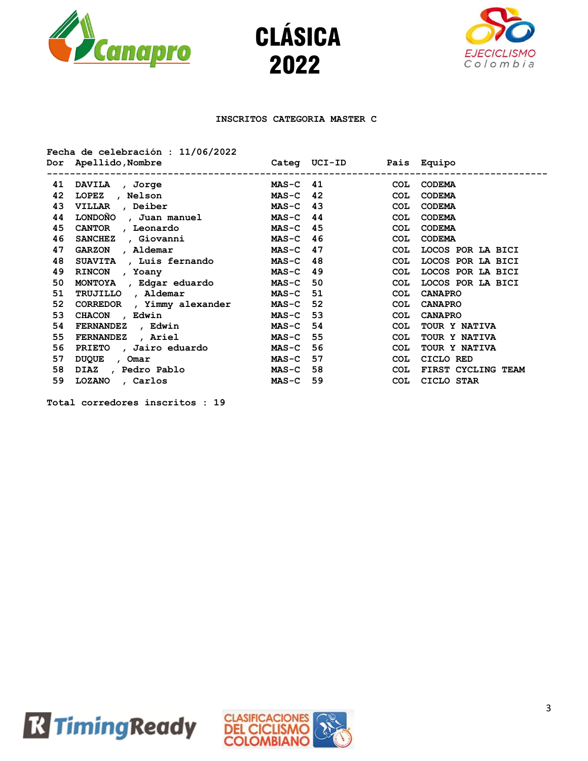





# **INSCRITOS CATEGORIA MASTER C**

|    | Fecha de celebración : $11/06/2022$                                   |            |            |            |                    |
|----|-----------------------------------------------------------------------|------------|------------|------------|--------------------|
|    | Dor Apellido, Nombre                     Categ UCI-ID     Pais Equipo |            |            |            |                    |
| 41 | DAVILA , Jorge                                                        |            | $MAS-C$ 41 |            | COL CODEMA         |
| 42 | LOPEZ, Nelson                                                         |            | $MAS-C$ 42 | <b>COL</b> | <b>CODEMA</b>      |
| 43 | VILLAR , Deiber                                                       | $MAS-C$ 43 |            | <b>COL</b> | <b>CODEMA</b>      |
| 44 | LONDOÑO, Juan manuel                                                  | $MAS-C$ 44 |            | COL        | <b>CODEMA</b>      |
| 45 | CANTOR , Leonardo                                                     | $MAS-C$ 45 |            | COL        | <b>CODEMA</b>      |
| 46 | SANCHEZ, Giovanni                                                     | MAS-C 46   |            | COL        | <b>CODEMA</b>      |
| 47 | GARZON, Aldemar                                                       | $MAS-C$ 47 |            | COL        | LOCOS POR LA BICI  |
| 48 | SUAVITA , Luis fernando                                               |            | $MAS-C$ 48 | COL        | LOCOS POR LA BICI  |
| 49 | RINCON, Yoany                                                         | MAS-C 49   |            | COL        | LOCOS POR LA BICI  |
| 50 | MONTOYA, Edgar eduardo                                                | MAS-C 50   |            | COL        | LOCOS POR LA BICI  |
| 51 | TRUJILLO, Aldemar                                                     | MAS-C 51   |            | <b>COL</b> | <b>CANAPRO</b>     |
| 52 | CORREDOR, Yimmy alexander                                             | MAS-C 52   |            | <b>COL</b> | <b>CANAPRO</b>     |
| 53 | CHACON, Edwin                                                         | $MAS-C 53$ |            | <b>COL</b> | <b>CANAPRO</b>     |
| 54 | FERNANDEZ, Edwin                                                      | $MAS-C$ 54 |            | <b>COL</b> | TOUR Y NATIVA      |
| 55 | <b>FERNANDEZ</b> , Ariel                                              | $MAS-C$ 55 |            | <b>COL</b> | TOUR Y NATIVA      |
| 56 | PRIETO, Jairo eduardo                                                 | $MAS-C$ 56 |            | <b>COL</b> | TOUR Y NATIVA      |
| 57 | DUQUE, Omar                                                           | $MAS-C$ 57 |            | <b>COL</b> | CICLO RED          |
| 58 | DIAZ , Pedro Pablo                                                    | MAS-C 58   |            | <b>COL</b> | FIRST CYCLING TEAM |
| 59 | LOZANO, Carlos                                                        | $MAS-C$ 59 |            |            | COL CICLO STAR     |
|    |                                                                       |            |            |            |                    |



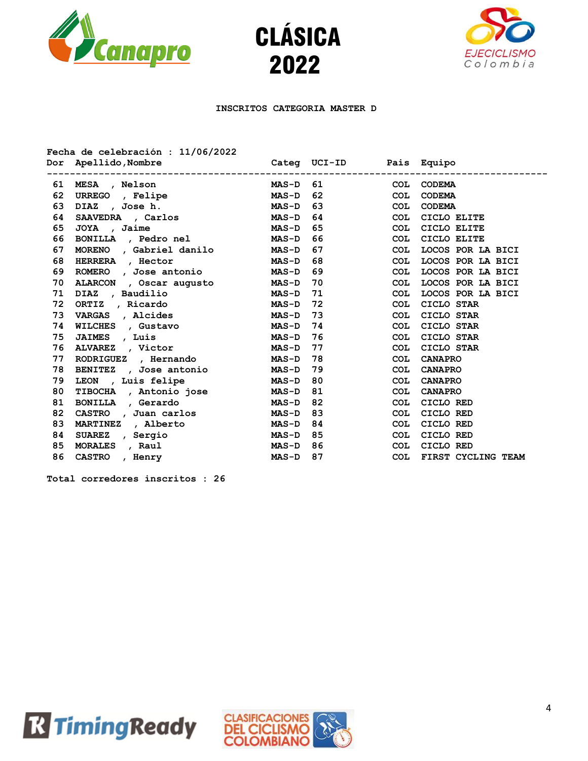





## **INSCRITOS CATEGORIA MASTER D**

| Fecha de celebración : 11/06/2022 |                                                     |              |            |            |                    |
|-----------------------------------|-----------------------------------------------------|--------------|------------|------------|--------------------|
|                                   | Dor Apellido, Nombre<br>Categ UCI-ID<br>Pais Equipo |              |            |            |                    |
|                                   | ---------------------------<br>61 MESA , Nelson     |              | $MAS-D$ 61 |            | COL CODEMA         |
| 62                                | URREGO , Felipe                                     | $MAS-D$ 62   |            | <b>COL</b> | <b>CODEMA</b>      |
| 63                                | DIAZ, Joseh.                                        | <b>MAS-D</b> | 63         | <b>COL</b> | <b>CODEMA</b>      |
| 64                                | SAAVEDRA , Carlos                                   | $MAS-D$ 64   |            | <b>COL</b> | CICLO ELITE        |
| 65                                | JOYA, Jaime                                         | <b>MAS-D</b> | 65         | <b>COL</b> | CICLO ELITE        |
| 66                                | BONILLA, Pedro nel MAS-D                            |              | 66         | <b>COL</b> | CICLO ELITE        |
| 67                                | MORENO, Gabriel danilo                              | <b>MAS-D</b> | 67         | <b>COL</b> | LOCOS POR LA BICI  |
| 68                                | HERRERA , Hector                                    | <b>MAS-D</b> | 68         | <b>COL</b> | LOCOS POR LA BICI  |
| 69                                | ROMERO, Jose antonio MAS-D 69                       |              |            | <b>COL</b> | LOCOS POR LA BICI  |
| 70                                | ALARCON, Oscar augusto                              | <b>MAS-D</b> | 70         | <b>COL</b> | LOCOS POR LA BICI  |
| 71                                | DIAZ , Baudilio                                     | <b>MAS-D</b> | 71         | <b>COL</b> | LOCOS POR LA BICI  |
| 72                                | ORTIZ, Ricardo                                      | <b>MAS-D</b> | 72         | COL        | CICLO STAR         |
| 73                                | VARGAS , Alcides                                    | <b>MAS-D</b> | 73         | <b>COL</b> | CICLO STAR         |
| 74                                | WILCHES , Gustavo                                   | <b>MAS-D</b> | 74         | <b>COL</b> | CICLO STAR         |
| 75                                | JAIMES , Luis                                       | $MAS-D$ 76   |            | <b>COL</b> | CICLO STAR         |
| 76                                | ALVAREZ , Victor                                    | <b>MAS-D</b> | 77         | <b>COL</b> | CICLO STAR         |
| 77                                | RODRIGUEZ, Hernando                                 | <b>MAS-D</b> | 78         | <b>COL</b> | <b>CANAPRO</b>     |
| 78                                | BENITEZ , Jose antonio                              | <b>MAS-D</b> | 79         | <b>COL</b> | <b>CANAPRO</b>     |
| 79                                | LEON, Luis felipe                                   | $MAS-D$ 80   |            | <b>COL</b> | <b>CANAPRO</b>     |
| 80                                | TIBOCHA , Antonio jose MAS-D 81                     |              |            | <b>COL</b> | <b>CANAPRO</b>     |
| 81                                | BONILLA , Gerardo                                   | <b>MAS-D</b> | 82         | <b>COL</b> | CICLO RED          |
| 82                                | CASTRO, Juan carlos                                 | MAS-D 83     |            | <b>COL</b> | CICLO RED          |
| 83                                | MARTINEZ , Alberto                                  | $MAS-D 84$   |            | COL        | CICLO RED          |
| 84                                | SUAREZ, Sergio                                      | $MAS-D$ 85   |            | <b>COL</b> | CICLO RED          |
| 85                                | MORALES, Raul                                       | <b>MAS-D</b> | 86         | <b>COL</b> | CICLO RED          |
| 86                                | CASTRO, Henry                                       | $MAS-D$ 87   |            | <b>COL</b> | FIRST CYCLING TEAM |



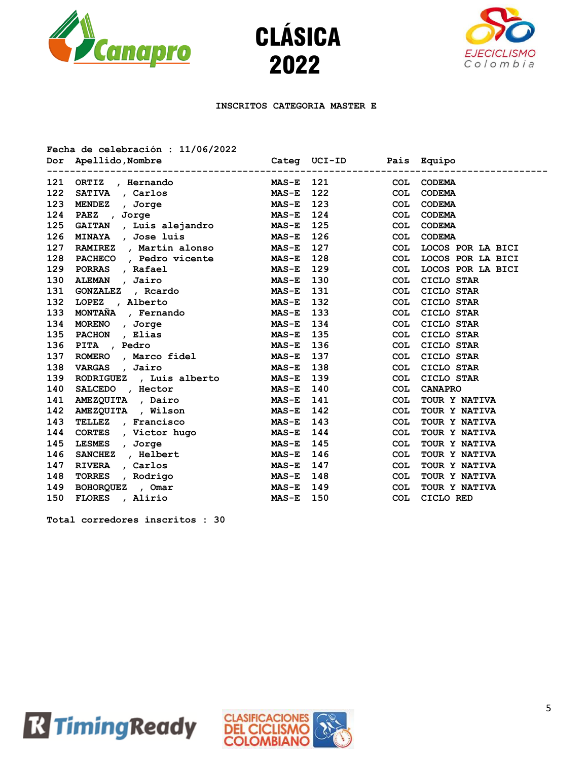





# **INSCRITOS CATEGORIA MASTER E**

|     | Fecha de celebración : $11/06/2022$<br>Dor Apellido, Nombre |              | Categ UCI-ID |            | Pais Equipo       |
|-----|-------------------------------------------------------------|--------------|--------------|------------|-------------------|
| 121 | ORTIZ, Hernando                                             | <b>MAS-E</b> | 121          | COL        | <b>CODEMA</b>     |
| 122 | SATIVA , Carlos                                             | <b>MAS-E</b> | 122          | COL        | <b>CODEMA</b>     |
| 123 | MENDEZ , Jorge                                              | <b>MAS-E</b> | 123          | <b>COL</b> | <b>CODEMA</b>     |
| 124 | , Jorge<br><b>PAEZ</b><br>$MAS-E$                           |              | 124          | <b>COL</b> | <b>CODEMA</b>     |
| 125 | GAITAN , Luis alejandro MAS-E                               |              | 125          | <b>COL</b> | <b>CODEMA</b>     |
| 126 | MINAYA , Jose luis MAS-E                                    |              | 126          | <b>COL</b> | <b>CODEMA</b>     |
| 127 | RAMIREZ , Martin alonso MAS-E                               |              | 127          | COL        | LOCOS POR LA BICI |
| 128 | PACHECO, Pedro vicente MAS-E                                |              | 128          | <b>COL</b> | LOCOS POR LA BICI |
| 129 | PORRAS , Rafael MAS-E                                       |              | 129          | <b>COL</b> | LOCOS POR LA BICI |
| 130 | ALEMAN , Jairo                                              | <b>MAS-E</b> | 130          | <b>COL</b> | CICLO STAR        |
| 131 | GONZALEZ , Rcardo                                           | <b>MAS-E</b> | 131          | COL        | CICLO STAR        |
| 132 | LOPEZ , Alberto                                             | <b>MAS-E</b> | 132          | <b>COL</b> | CICLO STAR        |
| 133 | MONTAÑA , Fernando MAS-E                                    |              | 133          | <b>COL</b> | CICLO STAR        |
| 134 | MORENO, Jorge<br>MAS-E                                      |              | 134          | <b>COL</b> | CICLO STAR        |
| 135 | PACHON, Elias                                               | <b>MAS-E</b> | 135          | COL        | CICLO STAR        |
| 136 | PITA , Pedro                                                | <b>MAS-E</b> | 136          | COL        | CICLO STAR        |
| 137 | ROMERO, Marco fidel MAS-E                                   |              | 137          | <b>COL</b> | CICLO STAR        |
| 138 | VARGAS , Jairo                                              | <b>MAS-E</b> | 138          | COL        | CICLO STAR        |
| 139 | RODRIGUEZ, Luis alberto                                     | <b>MAS-E</b> | 139          | <b>COL</b> | CICLO STAR        |
| 140 | SALCEDO, Hector                                             | <b>MAS-E</b> | 140          | <b>COL</b> | <b>CANAPRO</b>    |
| 141 | AMEZQUITA , Dairo MAS-E                                     |              | 141          | <b>COL</b> | TOUR Y NATIVA     |
| 142 | AMEZQUITA , Wilson MAS-E                                    |              | 142          | <b>COL</b> | TOUR Y NATIVA     |
| 143 | TELLEZ , Francisco                                          | <b>MAS-E</b> | 143          | <b>COL</b> | TOUR Y NATIVA     |
| 144 | CORTES , Victor hugo                                        | <b>MAS-E</b> | 144          | COL        | TOUR Y NATIVA     |
| 145 | LESMES , Jorge                                              | <b>MAS-E</b> | 145          | <b>COL</b> | TOUR Y NATIVA     |
| 146 | SANCHEZ, Helbert                                            | <b>MAS-E</b> | 146          | <b>COL</b> | TOUR Y NATIVA     |
| 147 | RIVERA , Carlos                                             | <b>MAS-E</b> | 147          | COL        | TOUR Y NATIVA     |
| 148 | TORRES , Rodrigo                                            | <b>MAS-E</b> | 148          | <b>COL</b> | TOUR Y NATIVA     |
| 149 | MAS-E<br>BOHORQUEZ , Omar                                   |              | 149          | <b>COL</b> | TOUR Y NATIVA     |
| 150 | FLORES , Alirio                                             | $MAS-E$      | 150          | COL        | CICLO RED         |